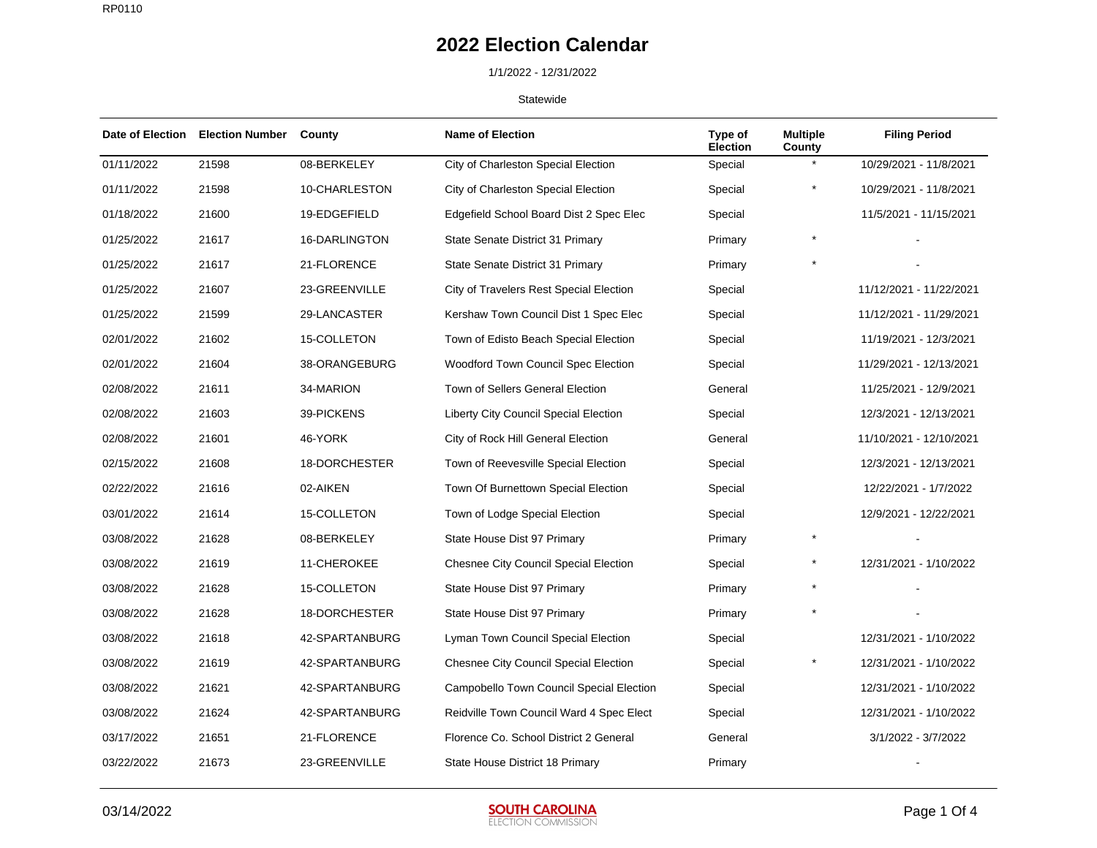### 1/1/2022 - 12/31/2022

| <b>Date of Election</b> | <b>Election Number</b> | County         | <b>Name of Election</b>                      | Type of<br><b>Election</b> | <b>Multiple</b><br>County | <b>Filing Period</b>    |
|-------------------------|------------------------|----------------|----------------------------------------------|----------------------------|---------------------------|-------------------------|
| 01/11/2022              | 21598                  | 08-BERKELEY    | City of Charleston Special Election          | Special                    |                           | 10/29/2021 - 11/8/2021  |
| 01/11/2022              | 21598                  | 10-CHARLESTON  | City of Charleston Special Election          | Special                    | $\star$                   | 10/29/2021 - 11/8/2021  |
| 01/18/2022              | 21600                  | 19-EDGEFIELD   | Edgefield School Board Dist 2 Spec Elec      | Special                    |                           | 11/5/2021 - 11/15/2021  |
| 01/25/2022              | 21617                  | 16-DARLINGTON  | State Senate District 31 Primary             | Primary                    |                           |                         |
| 01/25/2022              | 21617                  | 21-FLORENCE    | State Senate District 31 Primary             | Primary                    |                           |                         |
| 01/25/2022              | 21607                  | 23-GREENVILLE  | City of Travelers Rest Special Election      | Special                    |                           | 11/12/2021 - 11/22/2021 |
| 01/25/2022              | 21599                  | 29-LANCASTER   | Kershaw Town Council Dist 1 Spec Elec        | Special                    |                           | 11/12/2021 - 11/29/2021 |
| 02/01/2022              | 21602                  | 15-COLLETON    | Town of Edisto Beach Special Election        | Special                    |                           | 11/19/2021 - 12/3/2021  |
| 02/01/2022              | 21604                  | 38-ORANGEBURG  | Woodford Town Council Spec Election          | Special                    |                           | 11/29/2021 - 12/13/2021 |
| 02/08/2022              | 21611                  | 34-MARION      | Town of Sellers General Election             | General                    |                           | 11/25/2021 - 12/9/2021  |
| 02/08/2022              | 21603                  | 39-PICKENS     | Liberty City Council Special Election        | Special                    |                           | 12/3/2021 - 12/13/2021  |
| 02/08/2022              | 21601                  | 46-YORK        | City of Rock Hill General Election           | General                    |                           | 11/10/2021 - 12/10/2021 |
| 02/15/2022              | 21608                  | 18-DORCHESTER  | Town of Reevesville Special Election         | Special                    |                           | 12/3/2021 - 12/13/2021  |
| 02/22/2022              | 21616                  | 02-AIKEN       | Town Of Burnettown Special Election          | Special                    |                           | 12/22/2021 - 1/7/2022   |
| 03/01/2022              | 21614                  | 15-COLLETON    | Town of Lodge Special Election               | Special                    |                           | 12/9/2021 - 12/22/2021  |
| 03/08/2022              | 21628                  | 08-BERKELEY    | State House Dist 97 Primary                  | Primary                    |                           |                         |
| 03/08/2022              | 21619                  | 11-CHEROKEE    | <b>Chesnee City Council Special Election</b> | Special                    | $^{\star}$                | 12/31/2021 - 1/10/2022  |
| 03/08/2022              | 21628                  | 15-COLLETON    | State House Dist 97 Primary                  | Primary                    |                           |                         |
| 03/08/2022              | 21628                  | 18-DORCHESTER  | State House Dist 97 Primary                  | Primary                    |                           |                         |
| 03/08/2022              | 21618                  | 42-SPARTANBURG | Lyman Town Council Special Election          | Special                    |                           | 12/31/2021 - 1/10/2022  |
| 03/08/2022              | 21619                  | 42-SPARTANBURG | <b>Chesnee City Council Special Election</b> | Special                    | $\star$                   | 12/31/2021 - 1/10/2022  |
| 03/08/2022              | 21621                  | 42-SPARTANBURG | Campobello Town Council Special Election     | Special                    |                           | 12/31/2021 - 1/10/2022  |
| 03/08/2022              | 21624                  | 42-SPARTANBURG | Reidville Town Council Ward 4 Spec Elect     | Special                    |                           | 12/31/2021 - 1/10/2022  |
| 03/17/2022              | 21651                  | 21-FLORENCE    | Florence Co. School District 2 General       | General                    |                           | 3/1/2022 - 3/7/2022     |
| 03/22/2022              | 21673                  | 23-GREENVILLE  | State House District 18 Primary              | Primary                    |                           |                         |

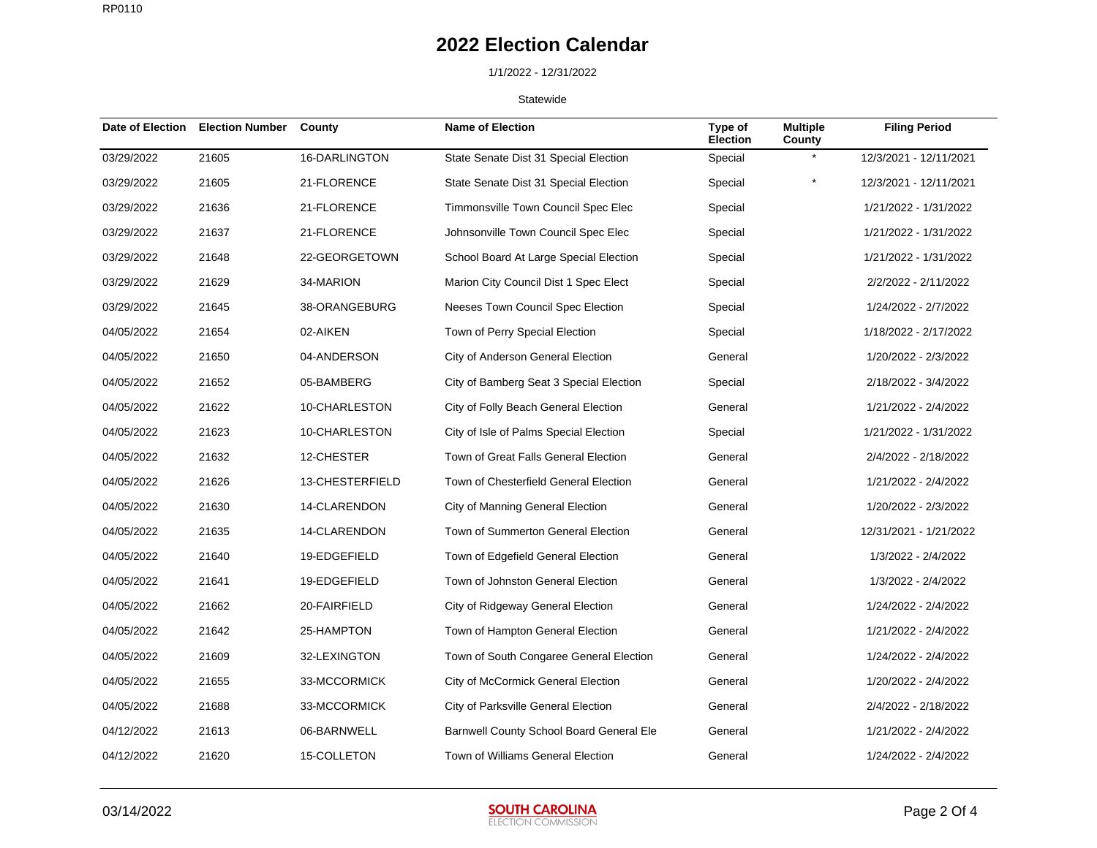## 1/1/2022 - 12/31/2022

| Date of Election | <b>Election Number</b> | County          | <b>Name of Election</b>                  | Type of<br><b>Election</b> | <b>Multiple</b><br>County | <b>Filing Period</b>   |
|------------------|------------------------|-----------------|------------------------------------------|----------------------------|---------------------------|------------------------|
| 03/29/2022       | 21605                  | 16-DARLINGTON   | State Senate Dist 31 Special Election    | Special                    |                           | 12/3/2021 - 12/11/2021 |
| 03/29/2022       | 21605                  | 21-FLORENCE     | State Senate Dist 31 Special Election    | Special                    | *                         | 12/3/2021 - 12/11/2021 |
| 03/29/2022       | 21636                  | 21-FLORENCE     | Timmonsville Town Council Spec Elec      | Special                    |                           | 1/21/2022 - 1/31/2022  |
| 03/29/2022       | 21637                  | 21-FLORENCE     | Johnsonville Town Council Spec Elec      | Special                    |                           | 1/21/2022 - 1/31/2022  |
| 03/29/2022       | 21648                  | 22-GEORGETOWN   | School Board At Large Special Election   | Special                    |                           | 1/21/2022 - 1/31/2022  |
| 03/29/2022       | 21629                  | 34-MARION       | Marion City Council Dist 1 Spec Elect    | Special                    |                           | 2/2/2022 - 2/11/2022   |
| 03/29/2022       | 21645                  | 38-ORANGEBURG   | Neeses Town Council Spec Election        | Special                    |                           | 1/24/2022 - 2/7/2022   |
| 04/05/2022       | 21654                  | 02-AIKEN        | Town of Perry Special Election           | Special                    |                           | 1/18/2022 - 2/17/2022  |
| 04/05/2022       | 21650                  | 04-ANDERSON     | City of Anderson General Election        | General                    |                           | 1/20/2022 - 2/3/2022   |
| 04/05/2022       | 21652                  | 05-BAMBERG      | City of Bamberg Seat 3 Special Election  | Special                    |                           | 2/18/2022 - 3/4/2022   |
| 04/05/2022       | 21622                  | 10-CHARLESTON   | City of Folly Beach General Election     | General                    |                           | 1/21/2022 - 2/4/2022   |
| 04/05/2022       | 21623                  | 10-CHARLESTON   | City of Isle of Palms Special Election   | Special                    |                           | 1/21/2022 - 1/31/2022  |
| 04/05/2022       | 21632                  | 12-CHESTER      | Town of Great Falls General Election     | General                    |                           | 2/4/2022 - 2/18/2022   |
| 04/05/2022       | 21626                  | 13-CHESTERFIELD | Town of Chesterfield General Election    | General                    |                           | 1/21/2022 - 2/4/2022   |
| 04/05/2022       | 21630                  | 14-CLARENDON    | City of Manning General Election         | General                    |                           | 1/20/2022 - 2/3/2022   |
| 04/05/2022       | 21635                  | 14-CLARENDON    | Town of Summerton General Election       | General                    |                           | 12/31/2021 - 1/21/2022 |
| 04/05/2022       | 21640                  | 19-EDGEFIELD    | Town of Edgefield General Election       | General                    |                           | 1/3/2022 - 2/4/2022    |
| 04/05/2022       | 21641                  | 19-EDGEFIELD    | Town of Johnston General Election        | General                    |                           | 1/3/2022 - 2/4/2022    |
| 04/05/2022       | 21662                  | 20-FAIRFIELD    | City of Ridgeway General Election        | General                    |                           | 1/24/2022 - 2/4/2022   |
| 04/05/2022       | 21642                  | 25-HAMPTON      | Town of Hampton General Election         | General                    |                           | 1/21/2022 - 2/4/2022   |
| 04/05/2022       | 21609                  | 32-LEXINGTON    | Town of South Congaree General Election  | General                    |                           | 1/24/2022 - 2/4/2022   |
| 04/05/2022       | 21655                  | 33-MCCORMICK    | City of McCormick General Election       | General                    |                           | 1/20/2022 - 2/4/2022   |
| 04/05/2022       | 21688                  | 33-MCCORMICK    | City of Parksville General Election      | General                    |                           | 2/4/2022 - 2/18/2022   |
| 04/12/2022       | 21613                  | 06-BARNWELL     | Barnwell County School Board General Ele | General                    |                           | 1/21/2022 - 2/4/2022   |
| 04/12/2022       | 21620                  | 15-COLLETON     | Town of Williams General Election        | General                    |                           | 1/24/2022 - 2/4/2022   |

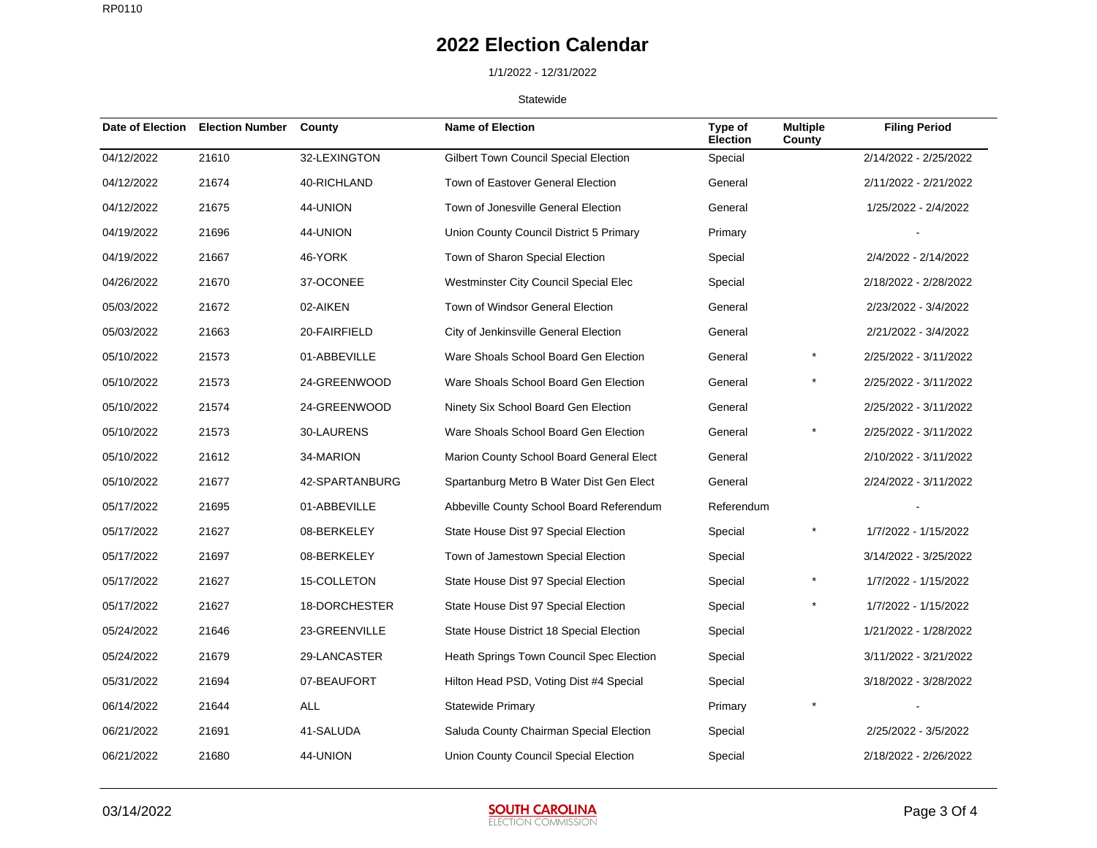## 1/1/2022 - 12/31/2022

| Date of Election | <b>Election Number</b> | County         | <b>Name of Election</b>                  | Type of<br><b>Election</b> | <b>Multiple</b><br>County | <b>Filing Period</b>  |
|------------------|------------------------|----------------|------------------------------------------|----------------------------|---------------------------|-----------------------|
| 04/12/2022       | 21610                  | 32-LEXINGTON   | Gilbert Town Council Special Election    | Special                    |                           | 2/14/2022 - 2/25/2022 |
| 04/12/2022       | 21674                  | 40-RICHLAND    | Town of Eastover General Election        | General                    |                           | 2/11/2022 - 2/21/2022 |
| 04/12/2022       | 21675                  | 44-UNION       | Town of Jonesville General Election      | General                    |                           | 1/25/2022 - 2/4/2022  |
| 04/19/2022       | 21696                  | 44-UNION       | Union County Council District 5 Primary  | Primary                    |                           |                       |
| 04/19/2022       | 21667                  | 46-YORK        | Town of Sharon Special Election          | Special                    |                           | 2/4/2022 - 2/14/2022  |
| 04/26/2022       | 21670                  | 37-OCONEE      | Westminster City Council Special Elec    | Special                    |                           | 2/18/2022 - 2/28/2022 |
| 05/03/2022       | 21672                  | 02-AIKEN       | Town of Windsor General Election         | General                    |                           | 2/23/2022 - 3/4/2022  |
| 05/03/2022       | 21663                  | 20-FAIRFIELD   | City of Jenkinsville General Election    | General                    |                           | 2/21/2022 - 3/4/2022  |
| 05/10/2022       | 21573                  | 01-ABBEVILLE   | Ware Shoals School Board Gen Election    | General                    | $^{\star}$                | 2/25/2022 - 3/11/2022 |
| 05/10/2022       | 21573                  | 24-GREENWOOD   | Ware Shoals School Board Gen Election    | General                    |                           | 2/25/2022 - 3/11/2022 |
| 05/10/2022       | 21574                  | 24-GREENWOOD   | Ninety Six School Board Gen Election     | General                    |                           | 2/25/2022 - 3/11/2022 |
| 05/10/2022       | 21573                  | 30-LAURENS     | Ware Shoals School Board Gen Election    | General                    |                           | 2/25/2022 - 3/11/2022 |
| 05/10/2022       | 21612                  | 34-MARION      | Marion County School Board General Elect | General                    |                           | 2/10/2022 - 3/11/2022 |
| 05/10/2022       | 21677                  | 42-SPARTANBURG | Spartanburg Metro B Water Dist Gen Elect | General                    |                           | 2/24/2022 - 3/11/2022 |
| 05/17/2022       | 21695                  | 01-ABBEVILLE   | Abbeville County School Board Referendum | Referendum                 |                           |                       |
| 05/17/2022       | 21627                  | 08-BERKELEY    | State House Dist 97 Special Election     | Special                    | $^{\star}$                | 1/7/2022 - 1/15/2022  |
| 05/17/2022       | 21697                  | 08-BERKELEY    | Town of Jamestown Special Election       | Special                    |                           | 3/14/2022 - 3/25/2022 |
| 05/17/2022       | 21627                  | 15-COLLETON    | State House Dist 97 Special Election     | Special                    |                           | 1/7/2022 - 1/15/2022  |
| 05/17/2022       | 21627                  | 18-DORCHESTER  | State House Dist 97 Special Election     | Special                    |                           | 1/7/2022 - 1/15/2022  |
| 05/24/2022       | 21646                  | 23-GREENVILLE  | State House District 18 Special Election | Special                    |                           | 1/21/2022 - 1/28/2022 |
| 05/24/2022       | 21679                  | 29-LANCASTER   | Heath Springs Town Council Spec Election | Special                    |                           | 3/11/2022 - 3/21/2022 |
| 05/31/2022       | 21694                  | 07-BEAUFORT    | Hilton Head PSD, Voting Dist #4 Special  | Special                    |                           | 3/18/2022 - 3/28/2022 |
| 06/14/2022       | 21644                  | <b>ALL</b>     | <b>Statewide Primary</b>                 | Primary                    |                           |                       |
| 06/21/2022       | 21691                  | 41-SALUDA      | Saluda County Chairman Special Election  | Special                    |                           | 2/25/2022 - 3/5/2022  |
| 06/21/2022       | 21680                  | 44-UNION       | Union County Council Special Election    | Special                    |                           | 2/18/2022 - 2/26/2022 |